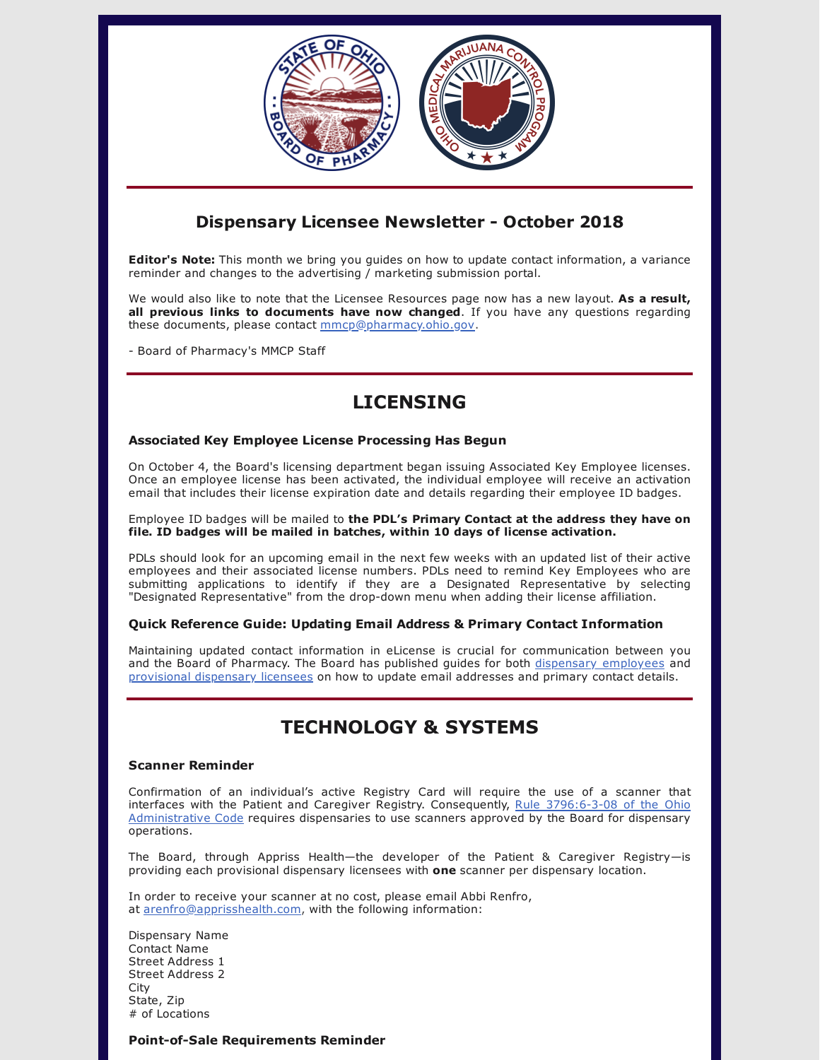

### **Dispensary Licensee Newsletter - October 2018**

**Editor's Note:** This month we bring you guides on how to update contact information, a variance reminder and changes to the advertising / marketing submission portal.

We would also like to note that the Licensee Resources page now has a new layout. **As a result, all previous links to documents have now changed**. If you have any questions regarding these documents, please contact [mmcp@pharmacy.ohio.gov.](mailto:mmcp@pharmacy.ohio.gov)

- Board of Pharmacy's MMCP Staff

# **LICENSING**

### **Associated Key Employee License Processing Has Begun**

On October 4, the Board's licensing department began issuing Associated Key Employee licenses. Once an employee license has been activated, the individual employee will receive an activation email that includes their license expiration date and details regarding their employee ID badges.

Employee ID badges will be mailed to **the PDL's Primary Contact at the address they have on file. ID badges will be mailed in batches, within 10 days of license activation.**

PDLs should look for an upcoming email in the next few weeks with an updated list of their active employees and their associated license numbers. PDLs need to remind Key Employees who are submitting applications to identify if they are a Designated Representative by selecting "Designated Representative" from the drop-down menu when adding their license affiliation.

### **Quick Reference Guide: Updating Email Address & Primary Contact Information**

Maintaining updated contact information in eLicense is crucial for communication between you and the Board of Pharmacy. The Board has published guides for both dispensary [employees](https://www.medicalmarijuana.ohio.gov/Documents/LicenseeResources/Dispensary%20Licensee%20Resources/DISPENSARY%20EMPLOYEE%20LICENSING/Quick%20Reference%20Guide%20-%20Updating%20Dispensary%20Employee%20Email.pdf) and [provisional](https://www.medicalmarijuana.ohio.gov/Documents/LicenseeResources/Dispensary%20Licensee%20Resources/DISPENSARY%20EMPLOYEE%20LICENSING/Quick%20Reference%20Guide%20-%20Updating%20Primary%20Contact%20&%20Dispensary%20Email.pdf) dispensary licensees on how to update email addresses and primary contact details.

# **TECHNOLOGY & SYSTEMS**

### **Scanner Reminder**

Confirmation of an individual's active Registry Card will require the use of a scanner that interfaces with the Patient and Caregiver Registry. Consequently, Rule 3796:6-3-08 of the Ohio [Administrative](http://codes.ohio.gov/oac/3796:6-3-08) Code requires dispensaries to use scanners approved by the Board for dispensary operations.

The Board, through Appriss Health—the developer of the Patient & Caregiver Registry—is providing each provisional dispensary licensees with **one** scanner per dispensary location.

In order to receive your scanner at no cost, please email Abbi Renfro, at [arenfro@apprisshealth.com](mailto:arenfro@apprisshealth.com), with the following information:

Dispensary Name Contact Name Street Address 1 Street Address 2 City State, Zip # of Locations

### **Point-of-Sale Requirements Reminder**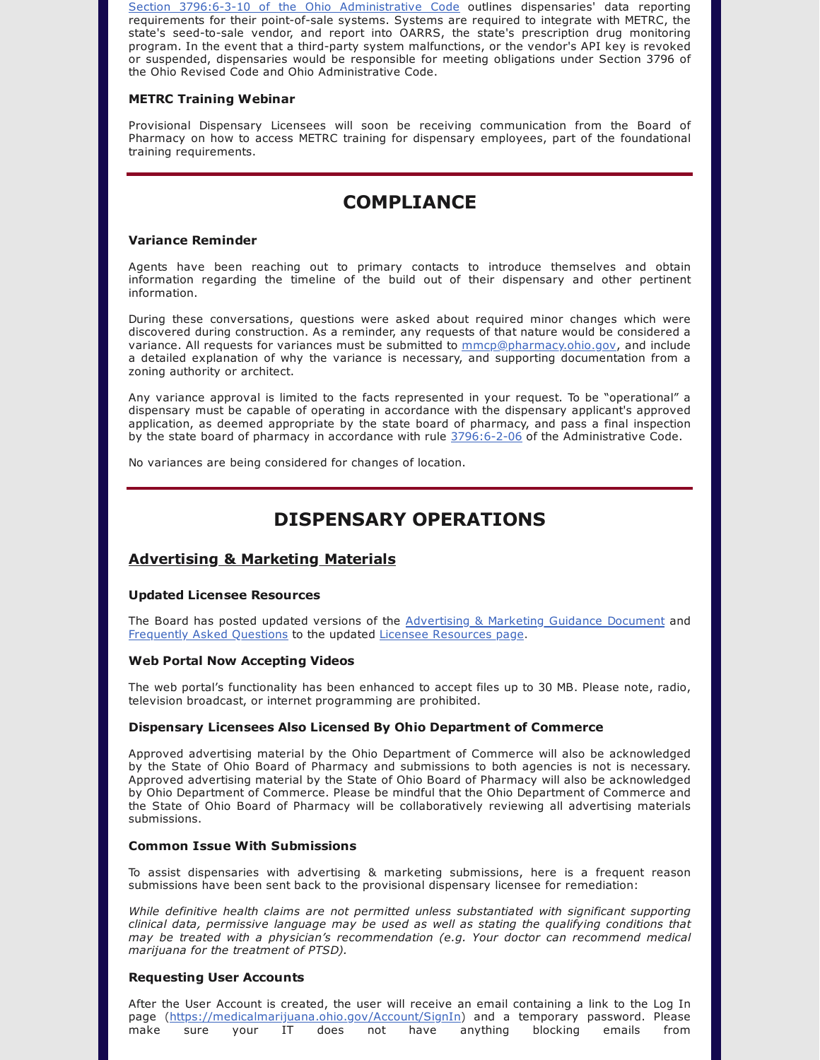Section 3796:6-3-10 of the Ohio [Administrative](http://codes.ohio.gov/oac/3796:6-3-10) Code outlines dispensaries' data reporting requirements for their point-of-sale systems. Systems are required to integrate with METRC, the state's seed-to-sale vendor, and report into OARRS, the state's prescription drug monitoring program. In the event that a third-party system malfunctions, or the vendor's API key is revoked or suspended, dispensaries would be responsible for meeting obligations under Section 3796 of the Ohio Revised Code and Ohio Administrative Code.

### **METRC Training Webinar**

Provisional Dispensary Licensees will soon be receiving communication from the Board of Pharmacy on how to access METRC training for dispensary employees, part of the foundational training requirements.

## **COMPLIANCE**

### **Variance Reminder**

Agents have been reaching out to primary contacts to introduce themselves and obtain information regarding the timeline of the build out of their dispensary and other pertinent information.

During these conversations, questions were asked about required minor changes which were discovered during construction. As a reminder, any requests of that nature would be considered a variance. All requests for variances must be submitted to [mmcp@pharmacy.ohio.gov](mailto:mmcp@pharmacy.ohio.gov), and include a detailed explanation of why the variance is necessary, and supporting documentation from a zoning authority or architect.

Any variance approval is limited to the facts represented in your request. To be "operational" a dispensary must be capable of operating in accordance with the dispensary applicant's approved application, as deemed appropriate by the state board of pharmacy, and pass a final inspection by the state board of pharmacy in accordance with rule [3796:6-2-06](http://codes.ohio.gov/oac/3796:6-2-06) of the Administrative Code.

No variances are being considered for changes of location.

## **DISPENSARY OPERATIONS**

### **Advertising & Marketing Materials**

### **Updated Licensee Resources**

The Board has posted updated versions of the [Advertising](https://www.medicalmarijuana.ohio.gov/Documents/LicenseeResources/Dispensary%20Licensee%20Resources/DISPENSARY%20GENERAL%20OPERATIONS/Dispensary%20Advertising%20&%20Marketing%20Review%20Submission%20Guidance%20Document.pdf) & Marketing Guidance Document and [Frequently](https://www.medicalmarijuana.ohio.gov/Documents/LicenseeResources/Dispensary%20Licensee%20Resources/DISPENSARY%20GENERAL%20OPERATIONS/MMCP%20Advertising%20&%20Marketing%20FAQ.pdf) Asked Questions to the updated Licensee [Resources](https://www.medicalmarijuana.ohio.gov/LicenseeResources) page.

### **Web Portal Now Accepting Videos**

The web portal's functionality has been enhanced to accept files up to 30 MB. Please note, radio, television broadcast, or internet programming are prohibited.

### **Dispensary Licensees Also Licensed By Ohio Department of Commerce**

Approved advertising material by the Ohio Department of Commerce will also be acknowledged by the State of Ohio Board of Pharmacy and submissions to both agencies is not is necessary. Approved advertising material by the State of Ohio Board of Pharmacy will also be acknowledged by Ohio Department of Commerce. Please be mindful that the Ohio Department of Commerce and the State of Ohio Board of Pharmacy will be collaboratively reviewing all advertising materials submissions.

### **Common Issue With Submissions**

To assist dispensaries with advertising & marketing submissions, here is a frequent reason submissions have been sent back to the provisional dispensary licensee for remediation:

*While definitive health claims are not permitted unless substantiated with significant supporting clinical data, permissive language may be used as well as stating the qualifying conditions that may be treated with a physician's recommendation (e.g. Your doctor can recommend medical marijuana for the treatment of PTSD).*

### **Requesting User Accounts**

After the User Account is created, the user will receive an email containing a link to the Log In page (<https://medicalmarijuana.ohio.gov/Account/SignIn>) and a temporary password. Please make sure your IT does not have anything blocking emails from